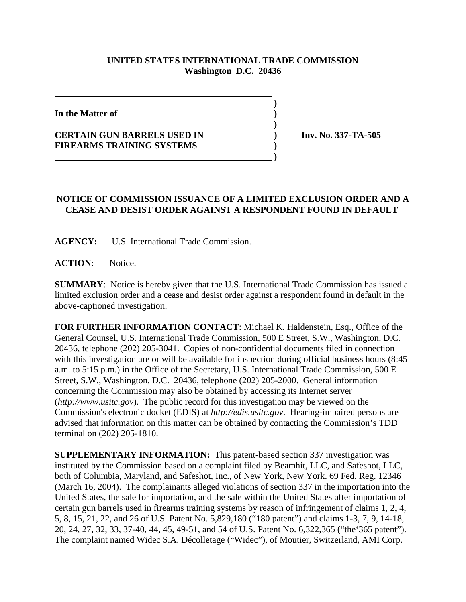## **UNITED STATES INTERNATIONAL TRADE COMMISSION Washington D.C. 20436**

 **)**

**)**

**In the Matter of )**

## **CERTAIN GUN BARRELS USED IN ) Inv. No. 337-TA-505 FIREARMS TRAINING SYSTEMS )**

## **NOTICE OF COMMISSION ISSUANCE OF A LIMITED EXCLUSION ORDER AND A CEASE AND DESIST ORDER AGAINST A RESPONDENT FOUND IN DEFAULT**

**AGENCY:** U.S. International Trade Commission.

 **)**

**ACTION**: Notice.

**SUMMARY**: Notice is hereby given that the U.S. International Trade Commission has issued a limited exclusion order and a cease and desist order against a respondent found in default in the above-captioned investigation.

**FOR FURTHER INFORMATION CONTACT**: Michael K. Haldenstein, Esq., Office of the General Counsel, U.S. International Trade Commission, 500 E Street, S.W., Washington, D.C. 20436, telephone (202) 205-3041. Copies of non-confidential documents filed in connection with this investigation are or will be available for inspection during official business hours (8:45 a.m. to 5:15 p.m.) in the Office of the Secretary, U.S. International Trade Commission, 500 E Street, S.W., Washington, D.C. 20436, telephone (202) 205-2000. General information concerning the Commission may also be obtained by accessing its Internet server (*http://www.usitc.gov*). The public record for this investigation may be viewed on the Commission's electronic docket (EDIS) at *http://edis.usitc.gov*. Hearing-impaired persons are advised that information on this matter can be obtained by contacting the Commission's TDD terminal on (202) 205-1810.

**SUPPLEMENTARY INFORMATION:** This patent-based section 337 investigation was instituted by the Commission based on a complaint filed by Beamhit, LLC, and Safeshot, LLC, both of Columbia, Maryland, and Safeshot, Inc., of New York, New York. 69 Fed. Reg. 12346 (March 16, 2004). The complainants alleged violations of section 337 in the importation into the United States, the sale for importation, and the sale within the United States after importation of certain gun barrels used in firearms training systems by reason of infringement of claims 1, 2, 4, 5, 8, 15, 21, 22, and 26 of U.S. Patent No. 5,829,180 ("180 patent") and claims 1-3, 7, 9, 14-18, 20, 24, 27, 32, 33, 37-40, 44, 45, 49-51, and 54 of U.S. Patent No. 6,322,365 ("the'365 patent"). The complaint named Widec S.A. Décolletage ("Widec"), of Moutier, Switzerland, AMI Corp.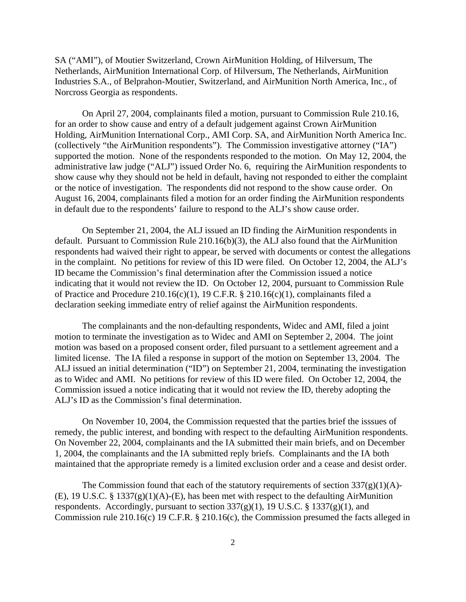SA ("AMI"), of Moutier Switzerland, Crown AirMunition Holding, of Hilversum, The Netherlands, AirMunition International Corp. of Hilversum, The Netherlands, AirMunition Industries S.A., of Belprahon-Moutier, Switzerland, and AirMunition North America, Inc., of Norcross Georgia as respondents.

On April 27, 2004, complainants filed a motion, pursuant to Commission Rule 210.16, for an order to show cause and entry of a default judgement against Crown AirMunition Holding, AirMunition International Corp., AMI Corp. SA, and AirMunition North America Inc. (collectively "the AirMunition respondents"). The Commission investigative attorney ("IA") supported the motion. None of the respondents responded to the motion. On May 12, 2004, the administrative law judge ("ALJ") issued Order No. 6, requiring the AirMunition respondents to show cause why they should not be held in default, having not responded to either the complaint or the notice of investigation. The respondents did not respond to the show cause order. On August 16, 2004, complainants filed a motion for an order finding the AirMunition respondents in default due to the respondents' failure to respond to the ALJ's show cause order.

On September 21, 2004, the ALJ issued an ID finding the AirMunition respondents in default. Pursuant to Commission Rule 210.16(b)(3), the ALJ also found that the AirMunition respondents had waived their right to appear, be served with documents or contest the allegations in the complaint. No petitions for review of this ID were filed. On October 12, 2004, the ALJ's ID became the Commission's final determination after the Commission issued a notice indicating that it would not review the ID. On October 12, 2004, pursuant to Commission Rule of Practice and Procedure 210.16(c)(1), 19 C.F.R.  $\S$  210.16(c)(1), complainants filed a declaration seeking immediate entry of relief against the AirMunition respondents.

The complainants and the non-defaulting respondents, Widec and AMI, filed a joint motion to terminate the investigation as to Widec and AMI on September 2, 2004. The joint motion was based on a proposed consent order, filed pursuant to a settlement agreement and a limited license. The IA filed a response in support of the motion on September 13, 2004. The ALJ issued an initial determination ("ID") on September 21, 2004, terminating the investigation as to Widec and AMI. No petitions for review of this ID were filed. On October 12, 2004, the Commission issued a notice indicating that it would not review the ID, thereby adopting the ALJ's ID as the Commission's final determination.

On November 10, 2004, the Commission requested that the parties brief the isssues of remedy, the public interest, and bonding with respect to the defaulting AirMunition respondents. On November 22, 2004, complainants and the IA submitted their main briefs, and on December 1, 2004, the complainants and the IA submitted reply briefs. Complainants and the IA both maintained that the appropriate remedy is a limited exclusion order and a cease and desist order.

The Commission found that each of the statutory requirements of section  $337(g)(1)(A)$ -(E), 19 U.S.C. § 1337(g)(1)(A)-(E), has been met with respect to the defaulting AirMunition respondents. Accordingly, pursuant to section  $337(g)(1)$ , 19 U.S.C. § 1337(g)(1), and Commission rule 210.16(c) 19 C.F.R. § 210.16(c), the Commission presumed the facts alleged in